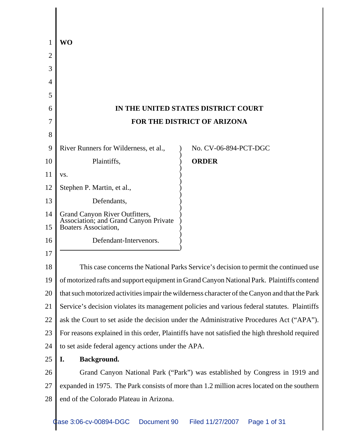| WO                                                                                                          |                                                                             |                        |
|-------------------------------------------------------------------------------------------------------------|-----------------------------------------------------------------------------|------------------------|
|                                                                                                             |                                                                             |                        |
|                                                                                                             |                                                                             |                        |
|                                                                                                             |                                                                             |                        |
|                                                                                                             |                                                                             |                        |
| IN THE UNITED STATES DISTRICT COURT                                                                         |                                                                             |                        |
| FOR THE DISTRICT OF ARIZONA                                                                                 |                                                                             |                        |
|                                                                                                             |                                                                             |                        |
| River Runners for Wilderness, et al.,                                                                       | No. CV-06-894-PCT-DGC                                                       |                        |
| Plaintiffs,                                                                                                 | <b>ORDER</b>                                                                |                        |
| VS.                                                                                                         |                                                                             |                        |
| Stephen P. Martin, et al.,                                                                                  |                                                                             |                        |
| Defendants,                                                                                                 |                                                                             |                        |
| Grand Canyon River Outfitters,<br>14<br>Association; and Grand Canyon Private<br>Boaters Association,<br>15 |                                                                             |                        |
|                                                                                                             |                                                                             | Defendant-Intervenors. |
|                                                                                                             |                                                                             |                        |
| This case concerns the National Parks Service's decision to permit the continued use                        |                                                                             |                        |
| of motorized rafts and support equipment in Grand Canyon National Park. Plaintiffs contend                  |                                                                             |                        |
| that such motorized activities impair the wilderness character of the Canyon and that the Park              |                                                                             |                        |
| Service's decision violates its management policies and various federal statutes. Plaintiffs                |                                                                             |                        |
| ask the Court to set aside the decision under the Administrative Procedures Act ("APA").                    |                                                                             |                        |
| For reasons explained in this order, Plaintiffs have not satisfied the high threshold required              |                                                                             |                        |
| to set aside federal agency actions under the APA.                                                          |                                                                             |                        |
| I.<br>Background.                                                                                           |                                                                             |                        |
|                                                                                                             | Grand Canyon National Park ("Park") was established by Congress in 1919 and |                        |
| expanded in 1975. The Park consists of more than 1.2 million acres located on the southern                  |                                                                             |                        |
| end of the Colorado Plateau in Arizona.                                                                     |                                                                             |                        |
|                                                                                                             |                                                                             |                        |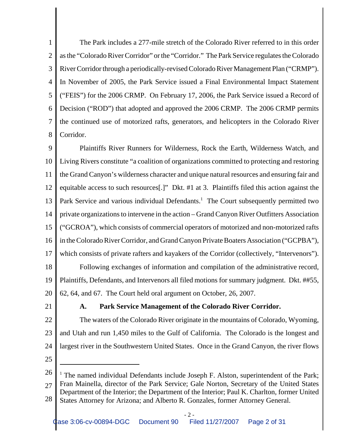1 2 3 4 5 6 7 8 The Park includes a 277-mile stretch of the Colorado River referred to in this order as the "Colorado River Corridor" or the "Corridor." The Park Service regulates the Colorado River Corridor through a periodically-revised Colorado River Management Plan ("CRMP"). In November of 2005, the Park Service issued a Final Environmental Impact Statement ("FEIS") for the 2006 CRMP. On February 17, 2006, the Park Service issued a Record of Decision ("ROD") that adopted and approved the 2006 CRMP. The 2006 CRMP permits the continued use of motorized rafts, generators, and helicopters in the Colorado River Corridor.

9 10 11 12 13 14 15 16 17 18 19 20 Plaintiffs River Runners for Wilderness, Rock the Earth, Wilderness Watch, and Living Rivers constitute "a coalition of organizations committed to protecting and restoring the Grand Canyon's wilderness character and unique natural resources and ensuring fair and equitable access to such resources[.]" Dkt. #1 at 3. Plaintiffs filed this action against the Park Service and various individual Defendants.<sup>1</sup> The Court subsequently permitted two private organizations to intervene in the action – Grand Canyon River Outfitters Association ("GCROA"), which consists of commercial operators of motorized and non-motorized rafts in the Colorado River Corridor, and Grand Canyon Private Boaters Association ("GCPBA"), which consists of private rafters and kayakers of the Corridor (collectively, "Intervenors"). Following exchanges of information and compilation of the administrative record, Plaintiffs, Defendants, and Intervenors all filed motions for summary judgment. Dkt. ##55, 62, 64, and 67. The Court held oral argument on October, 26, 2007.

21

## **A. Park Service Management of the Colorado River Corridor.**

22 23 24 The waters of the Colorado River originate in the mountains of Colorado, Wyoming, and Utah and run 1,450 miles to the Gulf of California. The Colorado is the longest and largest river in the Southwestern United States. Once in the Grand Canyon, the river flows

<sup>26</sup> 27 28 <sup>1</sup> The named individual Defendants include Joseph F. Alston, superintendent of the Park; Fran Mainella, director of the Park Service; Gale Norton, Secretary of the United States Department of the Interior; the Department of the Interior; Paul K. Charlton, former United States Attorney for Arizona; and Alberto R. Gonzales, former Attorney General.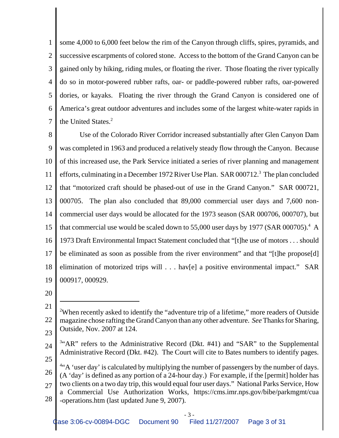1 2 3 4 5 6 7 some 4,000 to 6,000 feet below the rim of the Canyon through cliffs, spires, pyramids, and successive escarpments of colored stone. Access to the bottom of the Grand Canyon can be gained only by hiking, riding mules, or floating the river. Those floating the river typically do so in motor-powered rubber rafts, oar- or paddle-powered rubber rafts, oar-powered dories, or kayaks. Floating the river through the Grand Canyon is considered one of America's great outdoor adventures and includes some of the largest white-water rapids in the United States.<sup>2</sup>

8 9 10 11 12 13 14 15 16 17 18 19 Use of the Colorado River Corridor increased substantially after Glen Canyon Dam was completed in 1963 and produced a relatively steady flow through the Canyon. Because of this increased use, the Park Service initiated a series of river planning and management efforts, culminating in a December 1972 River Use Plan. SAR 000712.<sup>3</sup> The plan concluded that "motorized craft should be phased-out of use in the Grand Canyon." SAR 000721, 000705. The plan also concluded that 89,000 commercial user days and 7,600 noncommercial user days would be allocated for the 1973 season (SAR 000706, 000707), but that commercial use would be scaled down to  $55,000$  user days by 1977 (SAR 000705).<sup>4</sup> A 1973 Draft Environmental Impact Statement concluded that "[t]he use of motors . . . should be eliminated as soon as possible from the river environment" and that "[t]he propose[d] elimination of motorized trips will . . . hav[e] a positive environmental impact." SAR 000917, 000929.

20

- 24 <sup>3</sup>"AR" refers to the Administrative Record (Dkt. #41) and "SAR" to the Supplemental Administrative Record (Dkt. #42). The Court will cite to Bates numbers to identify pages.
- 25

26 27 28 <sup>4"</sup>A 'user day' is calculated by multiplying the number of passengers by the number of days. (A 'day' is defined as any portion of a 24-hour day.) For example, if the [permit] holder has two clients on a two day trip, this would equal four user days." National Parks Service, How a Commercial Use Authorization Works, https://cms.imr.nps.gov/bibe/parkmgmt/cua -operations.htm (last updated June 9, 2007).

<sup>21</sup> 22 23 <sup>2</sup>When recently asked to identify the "adventure trip of a lifetime," more readers of Outside magazine chose rafting the Grand Canyon than any other adventure. *See* Thanks for Sharing, Outside, Nov. 2007 at 124.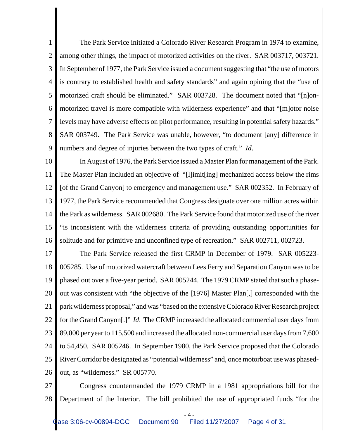1 2 3 4 5 6 7 8 9 The Park Service initiated a Colorado River Research Program in 1974 to examine, among other things, the impact of motorized activities on the river. SAR 003717, 003721. In September of 1977, the Park Service issued a document suggesting that "the use of motors is contrary to established health and safety standards" and again opining that the "use of motorized craft should be eliminated." SAR 003728. The document noted that "[n]onmotorized travel is more compatible with wilderness experience" and that "[m]otor noise levels may have adverse effects on pilot performance, resulting in potential safety hazards." SAR 003749. The Park Service was unable, however, "to document [any] difference in numbers and degree of injuries between the two types of craft." *Id*.

10 11 12 13 14 15 16 In August of 1976, the Park Service issued a Master Plan for management of the Park. The Master Plan included an objective of "[l]imit[ing] mechanized access below the rims [of the Grand Canyon] to emergency and management use." SAR 002352. In February of 1977, the Park Service recommended that Congress designate over one million acres within the Park as wilderness. SAR 002680. The Park Service found that motorized use of the river "is inconsistent with the wilderness criteria of providing outstanding opportunities for solitude and for primitive and unconfined type of recreation." SAR 002711, 002723.

17 18 19 20 21 22 23 24 25 26 The Park Service released the first CRMP in December of 1979. SAR 005223- 005285. Use of motorized watercraft between Lees Ferry and Separation Canyon was to be phased out over a five-year period. SAR 005244. The 1979 CRMP stated that such a phaseout was consistent with "the objective of the [1976] Master Plan[,] corresponded with the park wilderness proposal," and was "based on the extensive Colorado River Research project for the Grand Canyon[.]" *Id*. The CRMP increased the allocated commercial user days from 89,000 per year to 115,500 and increased the allocated non-commercial user days from 7,600 to 54,450. SAR 005246. In September 1980, the Park Service proposed that the Colorado River Corridor be designated as "potential wilderness" and, once motorboat use was phasedout, as "wilderness." SR 005770.

27 28 Congress countermanded the 1979 CRMP in a 1981 appropriations bill for the Department of the Interior. The bill prohibited the use of appropriated funds "for the

- 4 -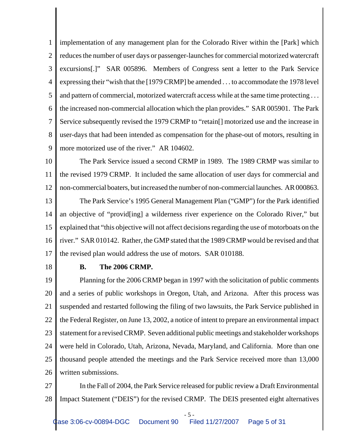1 2 3 4 5 6 7 8 9 implementation of any management plan for the Colorado River within the [Park] which reduces the number of user days or passenger-launches for commercial motorized watercraft excursions[.]" SAR 005896. Members of Congress sent a letter to the Park Service expressing their "wish that the [1979 CRMP] be amended . . . to accommodate the 1978 level and pattern of commercial, motorized watercraft access while at the same time protecting . . . the increased non-commercial allocation which the plan provides." SAR 005901. The Park Service subsequently revised the 1979 CRMP to "retain[] motorized use and the increase in user-days that had been intended as compensation for the phase-out of motors, resulting in more motorized use of the river." AR 104602.

- 10 11 12 The Park Service issued a second CRMP in 1989. The 1989 CRMP was similar to the revised 1979 CRMP. It included the same allocation of user days for commercial and non-commercial boaters, but increased the number of non-commercial launches. AR 000863.
- 13 14 15 16 17 The Park Service's 1995 General Management Plan ("GMP") for the Park identified an objective of "provid[ing] a wilderness river experience on the Colorado River," but explained that "this objective will not affect decisions regarding the use of motorboats on the river." SAR 010142. Rather, the GMP stated that the 1989 CRMP would be revised and that the revised plan would address the use of motors. SAR 010188.
- 18

#### **B. The 2006 CRMP.**

19 20 21 22 23 24 25 26 Planning for the 2006 CRMP began in 1997 with the solicitation of public comments and a series of public workshops in Oregon, Utah, and Arizona. After this process was suspended and restarted following the filing of two lawsuits, the Park Service published in the Federal Register, on June 13, 2002, a notice of intent to prepare an environmental impact statement for a revised CRMP. Seven additional public meetings and stakeholder workshops were held in Colorado, Utah, Arizona, Nevada, Maryland, and California. More than one thousand people attended the meetings and the Park Service received more than 13,000 written submissions.

27 28 In the Fall of 2004, the Park Service released for public review a Draft Environmental Impact Statement ("DEIS") for the revised CRMP. The DEIS presented eight alternatives

- 5 -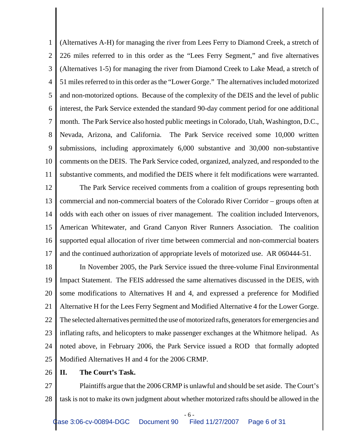1 2 3 4 5 6 7 8 9 10 11 (Alternatives A-H) for managing the river from Lees Ferry to Diamond Creek, a stretch of 226 miles referred to in this order as the "Lees Ferry Segment," and five alternatives (Alternatives 1-5) for managing the river from Diamond Creek to Lake Mead, a stretch of 51 miles referred to in this order as the "Lower Gorge." The alternatives included motorized and non-motorized options. Because of the complexity of the DEIS and the level of public interest, the Park Service extended the standard 90-day comment period for one additional month. The Park Service also hosted public meetings in Colorado, Utah, Washington, D.C., Nevada, Arizona, and California. The Park Service received some 10,000 written submissions, including approximately 6,000 substantive and 30,000 non-substantive comments on the DEIS. The Park Service coded, organized, analyzed, and responded to the substantive comments, and modified the DEIS where it felt modifications were warranted.

12 13 14 15 16 17 The Park Service received comments from a coalition of groups representing both commercial and non-commercial boaters of the Colorado River Corridor – groups often at odds with each other on issues of river management. The coalition included Intervenors, American Whitewater, and Grand Canyon River Runners Association. The coalition supported equal allocation of river time between commercial and non-commercial boaters and the continued authorization of appropriate levels of motorized use. AR 060444-51.

18 19 20 21 22 23 24 25 In November 2005, the Park Service issued the three-volume Final Environmental Impact Statement. The FEIS addressed the same alternatives discussed in the DEIS, with some modifications to Alternatives H and 4, and expressed a preference for Modified Alternative H for the Lees Ferry Segment and Modified Alternative 4 for the Lower Gorge. The selected alternatives permitted the use of motorized rafts, generators for emergencies and inflating rafts, and helicopters to make passenger exchanges at the Whitmore helipad. As noted above, in February 2006, the Park Service issued a ROD that formally adopted Modified Alternatives H and 4 for the 2006 CRMP.

#### 26 **II. The Court's Task.**

27 28 Plaintiffs argue that the 2006 CRMP is unlawful and should be set aside. The Court's task is not to make its own judgment about whether motorized rafts should be allowed in the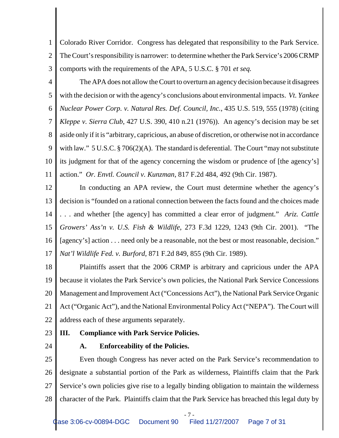1 2 3 Colorado River Corridor. Congress has delegated that responsibility to the Park Service. The Court's responsibility is narrower: to determine whether the Park Service's 2006 CRMP comports with the requirements of the APA, 5 U.S.C. § 701 *et seq.*

4 5 6 7 8 9 10 11 The APA does not allow the Court to overturn an agency decision because it disagrees with the decision or with the agency's conclusions about environmental impacts. *Vt. Yankee Nuclear Power Corp. v. Natural Res. Def. Council, Inc.*, 435 U.S. 519, 555 (1978) (citing *Kleppe v. Sierra Club*, 427 U.S. 390, 410 n.21 (1976)). An agency's decision may be set aside only if it is "arbitrary, capricious, an abuse of discretion, or otherwise not in accordance with law." 5 U.S.C. § 706(2)(A). The standard is deferential. The Court "may not substitute its judgment for that of the agency concerning the wisdom or prudence of [the agency's] action." *Or. Envtl. Council v. Kunzman*, 817 F.2d 484, 492 (9th Cir. 1987).

12 13 14 15 16 17 In conducting an APA review, the Court must determine whether the agency's decision is "founded on a rational connection between the facts found and the choices made . . . and whether [the agency] has committed a clear error of judgment." *Ariz. Cattle Growers' Ass'n v. U.S. Fish & Wildlife*, 273 F.3d 1229, 1243 (9th Cir. 2001). "The [agency's] action . . . need only be a reasonable, not the best or most reasonable, decision." *Nat'l Wildlife Fed. v. Burford*, 871 F.2d 849, 855 (9th Cir. 1989).

18 19 20 21 22 Plaintiffs assert that the 2006 CRMP is arbitrary and capricious under the APA because it violates the Park Service's own policies, the National Park Service Concessions Management and Improvement Act ("Concessions Act"), the National Park Service Organic Act ("Organic Act"), and the National Environmental Policy Act ("NEPA"). The Court will address each of these arguments separately.

- 23 **III. Compliance with Park Service Policies.**
- 24

#### **A. Enforceability of the Policies.**

25 26 27 28 Even though Congress has never acted on the Park Service's recommendation to designate a substantial portion of the Park as wilderness, Plaintiffs claim that the Park Service's own policies give rise to a legally binding obligation to maintain the wilderness character of the Park. Plaintiffs claim that the Park Service has breached this legal duty by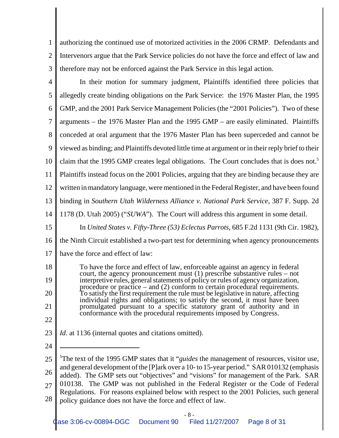1 2 3 authorizing the continued use of motorized activities in the 2006 CRMP. Defendants and Intervenors argue that the Park Service policies do not have the force and effect of law and therefore may not be enforced against the Park Service in this legal action.

| $\overline{4}$ | In their motion for summary judgment, Plaintiffs identified three policies that                                                                                                  |  |  |  |
|----------------|----------------------------------------------------------------------------------------------------------------------------------------------------------------------------------|--|--|--|
| 5              | allegedly create binding obligations on the Park Service: the 1976 Master Plan, the 1995                                                                                         |  |  |  |
| 6              | GMP, and the 2001 Park Service Management Policies (the "2001 Policies"). Two of these                                                                                           |  |  |  |
| 7              | arguments – the 1976 Master Plan and the 1995 GMP – are easily eliminated. Plaintiffs                                                                                            |  |  |  |
| 8              | conceded at oral argument that the 1976 Master Plan has been superceded and cannot be                                                                                            |  |  |  |
| 9              | viewed as binding; and Plaintiffs devoted little time at argument or in their reply brief to their                                                                               |  |  |  |
| 10             | claim that the 1995 GMP creates legal obligations. The Court concludes that is does not. <sup>5</sup>                                                                            |  |  |  |
| 11             | Plaintiffs instead focus on the 2001 Policies, arguing that they are binding because they are                                                                                    |  |  |  |
| 12             | written in mandatory language, were mentioned in the Federal Register, and have been found                                                                                       |  |  |  |
| 13             | binding in Southern Utah Wilderness Alliance v. National Park Service, 387 F. Supp. 2d                                                                                           |  |  |  |
| 14             | 1178 (D. Utah 2005) ("SUWA"). The Court will address this argument in some detail.                                                                                               |  |  |  |
| 15             | In United States v. Fifty-Three (53) Eclectus Parrots, 685 F.2d 1131 (9th Cir. 1982),                                                                                            |  |  |  |
| 16             | the Ninth Circuit established a two-part test for determining when agency pronouncements                                                                                         |  |  |  |
| 17             | have the force and effect of law:                                                                                                                                                |  |  |  |
| 18             | To have the force and effect of law, enforceable against an agency in federal<br>court, the agency pronouncement must $(1)$ prescribe substantive rules – not                    |  |  |  |
| 19             | interpretive rules, general statements of policy or rules of agency organization,<br>procedure or practice $-$ and (2) conform to certain procedural requirements.               |  |  |  |
| 20             | To satisfy the first requirement the rule must be legislative in nature, affecting<br>individual rights and obligations; to satisfy the second, it must have been                |  |  |  |
| 21             | promulgated pursuant to a specific statutory grant of authority and in<br>conformance with the procedural requirements imposed by Congress.                                      |  |  |  |
| 22             |                                                                                                                                                                                  |  |  |  |
| 23             | Id. at 1136 (internal quotes and citations omitted).                                                                                                                             |  |  |  |
| 24             |                                                                                                                                                                                  |  |  |  |
| 25             | <sup>5</sup> The text of the 1995 GMP states that it " <i>guides</i> the management of resources, visitor use,                                                                   |  |  |  |
| 26             | and general development of the [P]ark over a 10- to 15-year period." SAR 010132 (emphasis<br>added). The GMP sets out "objectives" and "visions" for management of the Park. SAR |  |  |  |
| 27             | 010138. The GMP was not published in the Federal Register or the Code of Federal<br>Regulations. For reasons explained below with respect to the 2001 Policies, such general     |  |  |  |
|                |                                                                                                                                                                                  |  |  |  |

28 policy guidance does not have the force and effect of law.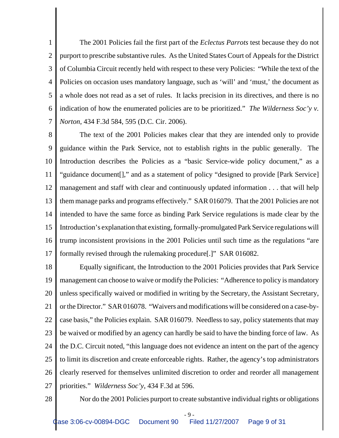1 2 3 4 5 6 7 The 2001 Policies fail the first part of the *Eclectus Parrots* test because they do not purport to prescribe substantive rules. As the United States Court of Appeals for the District of Columbia Circuit recently held with respect to these very Policies: "While the text of the Policies on occasion uses mandatory language, such as 'will' and 'must,' the document as a whole does not read as a set of rules. It lacks precision in its directives, and there is no indication of how the enumerated policies are to be prioritized." *The Wilderness Soc'y v. Norton*, 434 F.3d 584, 595 (D.C. Cir. 2006).

8 9 10 11 12 13 14 15 16 17 The text of the 2001 Policies makes clear that they are intended only to provide guidance within the Park Service, not to establish rights in the public generally. The Introduction describes the Policies as a "basic Service-wide policy document," as a "guidance document[]," and as a statement of policy "designed to provide [Park Service] management and staff with clear and continuously updated information . . . that will help them manage parks and programs effectively." SAR 016079. That the 2001 Policies are not intended to have the same force as binding Park Service regulations is made clear by the Introduction's explanation that existing, formally-promulgated Park Service regulations will trump inconsistent provisions in the 2001 Policies until such time as the regulations "are formally revised through the rulemaking procedure[.]" SAR 016082.

18 19 20 21 22 23 24 25 26 27 Equally significant, the Introduction to the 2001 Policies provides that Park Service management can choose to waive or modify the Policies: "Adherence to policy is mandatory unless specifically waived or modified in writing by the Secretary, the Assistant Secretary, or the Director." SAR 016078. "Waivers and modifications will be considered on a case-bycase basis," the Policies explain. SAR 016079. Needless to say, policy statements that may be waived or modified by an agency can hardly be said to have the binding force of law. As the D.C. Circuit noted, "this language does not evidence an intent on the part of the agency to limit its discretion and create enforceable rights. Rather, the agency's top administrators clearly reserved for themselves unlimited discretion to order and reorder all management priorities." *Wilderness Soc'y*, 434 F.3d at 596.

28

Nor do the 2001 Policies purport to create substantive individual rights or obligations

- 9 -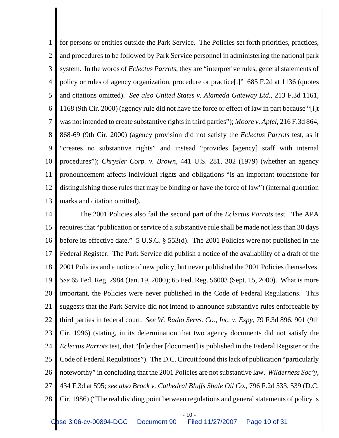1 2 3 4 5 6 7 8 9 10 11 12 13 for persons or entities outside the Park Service. The Policies set forth priorities, practices, and procedures to be followed by Park Service personnel in administering the national park system. In the words of *Eclectus Parrots*, they are "interpretive rules, general statements of policy or rules of agency organization, procedure or practice[.]" 685 F.2d at 1136 (quotes and citations omitted). *See also United States v. Alameda Gateway Ltd.*, 213 F.3d 1161, 1168 (9th Cir. 2000) (agency rule did not have the force or effect of law in part because "[i]t was not intended to create substantive rights in third parties"); *Moore v. Apfel*, 216 F.3d 864, 868-69 (9th Cir. 2000) (agency provision did not satisfy the *Eclectus Parrots* test, as it "creates no substantive rights" and instead "provides [agency] staff with internal procedures"); *Chrysler Corp. v. Brown*, 441 U.S. 281, 302 (1979) (whether an agency pronouncement affects individual rights and obligations "is an important touchstone for distinguishing those rules that may be binding or have the force of law") (internal quotation marks and citation omitted).

14 15 16 17 18 19 20 21 22 23 24 25 26 27 28 The 2001 Policies also fail the second part of the *Eclectus Parrots* test. The APA requires that "publication or service of a substantive rule shall be made not less than 30 days before its effective date." 5 U.S.C. § 553(d). The 2001 Policies were not published in the Federal Register. The Park Service did publish a notice of the availability of a draft of the 2001 Policies and a notice of new policy, but never published the 2001 Policies themselves. *See* 65 Fed. Reg. 2984 (Jan. 19, 2000); 65 Fed. Reg. 56003 (Sept. 15, 2000). What is more important, the Policies were never published in the Code of Federal Regulations. This suggests that the Park Service did not intend to announce substantive rules enforceable by third parties in federal court. *See W. Radio Servs. Co., Inc. v. Espy*, 79 F.3d 896, 901 (9th Cir. 1996) (stating, in its determination that two agency documents did not satisfy the *Eclectus Parrots* test, that "[n]either [document] is published in the Federal Register or the Code of Federal Regulations"). The D.C. Circuit found this lack of publication "particularly noteworthy" in concluding that the 2001 Policies are not substantive law. *Wilderness Soc'y*, 434 F.3d at 595; *see also Brock v. Cathedral Bluffs Shale Oil Co.*, 796 F.2d 533, 539 (D.C. Cir. 1986) ("The real dividing point between regulations and general statements of policy is

 $-10-$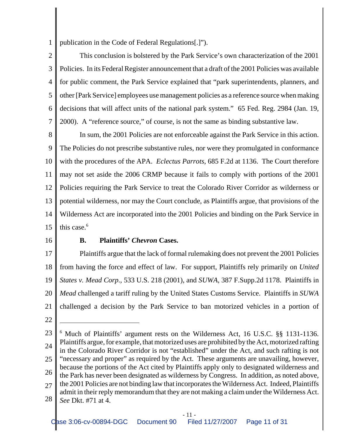1 publication in the Code of Federal Regulations[.]").

2 3 4 5 6 7 This conclusion is bolstered by the Park Service's own characterization of the 2001 Policies. In its Federal Register announcement that a draft of the 2001 Policies was available for public comment, the Park Service explained that "park superintendents, planners, and other [Park Service] employees use management policies as a reference source when making decisions that will affect units of the national park system." 65 Fed. Reg. 2984 (Jan. 19, 2000). A "reference source," of course, is not the same as binding substantive law.

8 9 10 11 12 13 14 15 In sum, the 2001 Policies are not enforceable against the Park Service in this action. The Policies do not prescribe substantive rules, nor were they promulgated in conformance with the procedures of the APA. *Eclectus Parrots*, 685 F.2d at 1136. The Court therefore may not set aside the 2006 CRMP because it fails to comply with portions of the 2001 Policies requiring the Park Service to treat the Colorado River Corridor as wilderness or potential wilderness, nor may the Court conclude, as Plaintiffs argue, that provisions of the Wilderness Act are incorporated into the 2001 Policies and binding on the Park Service in this case.<sup>6</sup>

16

#### **B. Plaintiffs'** *Chevron* **Cases.**

17 18 19 20 21 Plaintiffs argue that the lack of formal rulemaking does not prevent the 2001 Policies from having the force and effect of law. For support, Plaintiffs rely primarily on *United States v. Mead Corp.*, 533 U.S. 218 (2001), and *SUWA*, 387 F.Supp.2d 1178. Plaintiffs in *Mead* challenged a tariff ruling by the United States Customs Service. Plaintiffs in *SUWA* challenged a decision by the Park Service to ban motorized vehicles in a portion of

<sup>23</sup> 24 25 26 27 28 6 Much of Plaintiffs' argument rests on the Wilderness Act, 16 U.S.C. §§ 1131-1136. Plaintiffs argue, for example, that motorized uses are prohibited by the Act, motorized rafting in the Colorado River Corridor is not "established" under the Act, and such rafting is not "necessary and proper" as required by the Act. These arguments are unavailing, however, because the portions of the Act cited by Plaintiffs apply only to designated wilderness and the Park has never been designated as wilderness by Congress. In addition, as noted above, the 2001 Policies are not binding law that incorporates the Wilderness Act. Indeed, Plaintiffs admit in their reply memorandum that they are not making a claim under the Wilderness Act. *See* Dkt. #71 at 4.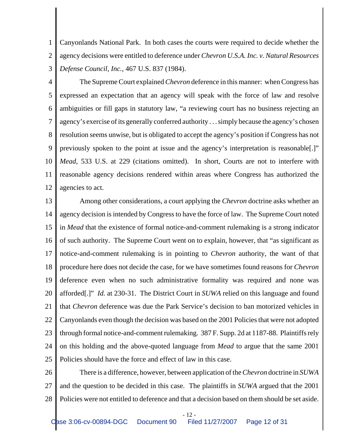1 2 3 Canyonlands National Park. In both cases the courts were required to decide whether the agency decisions were entitled to deference under *Chevron U.S.A. Inc. v. Natural Resources Defense Council, Inc.*, 467 U.S. 837 (1984).

4 5 6 7 8 9 10 11 12 The Supreme Court explained *Chevron* deference in this manner: when Congress has expressed an expectation that an agency will speak with the force of law and resolve ambiguities or fill gaps in statutory law, "a reviewing court has no business rejecting an agency's exercise of its generally conferred authority . . . simply because the agency's chosen resolution seems unwise, but is obligated to accept the agency's position if Congress has not previously spoken to the point at issue and the agency's interpretation is reasonable[.]" *Mead*, 533 U.S. at 229 (citations omitted). In short, Courts are not to interfere with reasonable agency decisions rendered within areas where Congress has authorized the agencies to act.

13 14 15 16 17 18 19 20 21 22 23 24 25 Among other considerations, a court applying the *Chevron* doctrine asks whether an agency decision is intended by Congress to have the force of law. The Supreme Court noted in *Mead* that the existence of formal notice-and-comment rulemaking is a strong indicator of such authority. The Supreme Court went on to explain, however, that "as significant as notice-and-comment rulemaking is in pointing to *Chevron* authority, the want of that procedure here does not decide the case, for we have sometimes found reasons for *Chevron* deference even when no such administrative formality was required and none was afforded[.]" *Id.* at 230-31. The District Court in *SUWA* relied on this language and found that *Chevron* deference was due the Park Service's decision to ban motorized vehicles in Canyonlands even though the decision was based on the 2001 Policies that were not adopted through formal notice-and-comment rulemaking. 387 F. Supp. 2d at 1187-88. Plaintiffs rely on this holding and the above-quoted language from *Mead* to argue that the same 2001 Policies should have the force and effect of law in this case.

26 27 28 There is a difference, however, between application of the *Chevron* doctrine in *SUWA* and the question to be decided in this case. The plaintiffs in *SUWA* argued that the 2001 Policies were not entitled to deference and that a decision based on them should be set aside.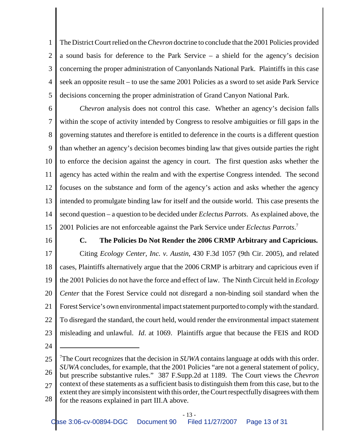1 2 3 4 5 The District Court relied on the *Chevron* doctrine to conclude that the 2001 Policies provided a sound basis for deference to the Park Service – a shield for the agency's decision concerning the proper administration of Canyonlands National Park. Plaintiffs in this case seek an opposite result – to use the same 2001 Policies as a sword to set aside Park Service decisions concerning the proper administration of Grand Canyon National Park.

6 7 8 9 10 11 12 13 14 15 *Chevron* analysis does not control this case. Whether an agency's decision falls within the scope of activity intended by Congress to resolve ambiguities or fill gaps in the governing statutes and therefore is entitled to deference in the courts is a different question than whether an agency's decision becomes binding law that gives outside parties the right to enforce the decision against the agency in court. The first question asks whether the agency has acted within the realm and with the expertise Congress intended. The second focuses on the substance and form of the agency's action and asks whether the agency intended to promulgate binding law for itself and the outside world. This case presents the second question – a question to be decided under *Eclectus Parrots*. As explained above, the 2001 Policies are not enforceable against the Park Service under *Eclectus Parrots*. 7

16

17

# **C. The Policies Do Not Render the 2006 CRMP Arbitrary and Capricious.** Citing *Ecology Center, Inc. v. Austin*, 430 F.3d 1057 (9th Cir. 2005), and related

18 19 20 21 22 23 cases, Plaintiffs alternatively argue that the 2006 CRMP is arbitrary and capricious even if the 2001 Policies do not have the force and effect of law. The Ninth Circuit held in *Ecology Center* that the Forest Service could not disregard a non-binding soil standard when the Forest Service's own environmental impact statement purported to comply with the standard. To disregard the standard, the court held, would render the environmental impact statement misleading and unlawful. *Id*. at 1069. Plaintiffs argue that because the FEIS and ROD

<sup>25</sup> 26 27 28 7 The Court recognizes that the decision in *SUWA* contains language at odds with this order. *SUWA* concludes, for example, that the 2001 Policies "are not a general statement of policy, but prescribe substantive rules." 387 F.Supp.2d at 1189. The Court views the *Chevron* context of these statements as a sufficient basis to distinguish them from this case, but to the extent they are simply inconsistent with this order, the Court respectfully disagrees with them for the reasons explained in part III.A above.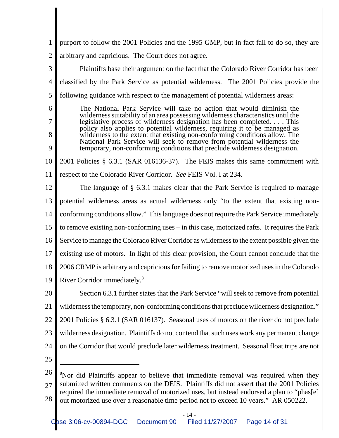| 1                                                                                                                                                          | purport to follow the 2001 Policies and the 1995 GMP, but in fact fail to do so, they are                                                                                             |  |  |  |  |
|------------------------------------------------------------------------------------------------------------------------------------------------------------|---------------------------------------------------------------------------------------------------------------------------------------------------------------------------------------|--|--|--|--|
| $\overline{2}$                                                                                                                                             | arbitrary and capricious. The Court does not agree.                                                                                                                                   |  |  |  |  |
| 3                                                                                                                                                          | Plaintiffs base their argument on the fact that the Colorado River Corridor has been                                                                                                  |  |  |  |  |
| $\overline{4}$                                                                                                                                             | classified by the Park Service as potential wilderness. The 2001 Policies provide the                                                                                                 |  |  |  |  |
| 5                                                                                                                                                          | following guidance with respect to the management of potential wilderness areas:                                                                                                      |  |  |  |  |
| 6                                                                                                                                                          | The National Park Service will take no action that would diminish the                                                                                                                 |  |  |  |  |
| 7                                                                                                                                                          | wilderness suitability of an area possessing wilderness characteristics until the<br>legislative process of wilderness designation has been completed. This                           |  |  |  |  |
| 8                                                                                                                                                          | policy also applies to potential wilderness, requiring it to be managed as<br>wilderness to the extent that existing non-conforming conditions allow. The                             |  |  |  |  |
| National Park Service will seek to remove from potential wilderness the<br>9<br>temporary, non-conforming conditions that preclude wilderness designation. |                                                                                                                                                                                       |  |  |  |  |
| 10                                                                                                                                                         | 2001 Policies § 6.3.1 (SAR 016136-37). The FEIS makes this same commitment with                                                                                                       |  |  |  |  |
| 11                                                                                                                                                         | respect to the Colorado River Corridor. See FEIS Vol. I at 234.                                                                                                                       |  |  |  |  |
| 12                                                                                                                                                         | The language of $\S$ 6.3.1 makes clear that the Park Service is required to manage                                                                                                    |  |  |  |  |
| 13                                                                                                                                                         | potential wilderness areas as actual wilderness only "to the extent that existing non-                                                                                                |  |  |  |  |
| 14                                                                                                                                                         | conforming conditions allow." This language does not require the Park Service immediately                                                                                             |  |  |  |  |
| 15                                                                                                                                                         | to remove existing non-conforming uses – in this case, motorized rafts. It requires the Park                                                                                          |  |  |  |  |
| 16                                                                                                                                                         | Service to manage the Colorado River Corridor as wilderness to the extent possible given the                                                                                          |  |  |  |  |
| 17                                                                                                                                                         | existing use of motors. In light of this clear provision, the Court cannot conclude that the                                                                                          |  |  |  |  |
| 18                                                                                                                                                         | 2006 CRMP is arbitrary and capricious for failing to remove motorized uses in the Colorado                                                                                            |  |  |  |  |
| 19                                                                                                                                                         | River Corridor immediately. <sup>8</sup>                                                                                                                                              |  |  |  |  |
| 20                                                                                                                                                         | Section 6.3.1 further states that the Park Service "will seek to remove from potential                                                                                                |  |  |  |  |
| 21                                                                                                                                                         | wilderness the temporary, non-conforming conditions that preclude wilderness designation."                                                                                            |  |  |  |  |
| 22                                                                                                                                                         | 2001 Policies § 6.3.1 (SAR 016137). Seasonal uses of motors on the river do not preclude                                                                                              |  |  |  |  |
| 23                                                                                                                                                         | wilderness designation. Plaintiffs do not contend that such uses work any permanent change                                                                                            |  |  |  |  |
| 24                                                                                                                                                         | on the Corridor that would preclude later wilderness treatment. Seasonal float trips are not                                                                                          |  |  |  |  |
| 25                                                                                                                                                         |                                                                                                                                                                                       |  |  |  |  |
| 26                                                                                                                                                         | <sup>8</sup> Nor did Plaintiffs appear to believe that immediate removal was required when they                                                                                       |  |  |  |  |
| 27                                                                                                                                                         | submitted written comments on the DEIS. Plaintiffs did not assert that the 2001 Policies<br>required the immediate removal of motorized uses, but instead endorsed a plan to "phas[e] |  |  |  |  |

28 out motorized use over a reasonable time period not to exceed 10 years." AR 050222.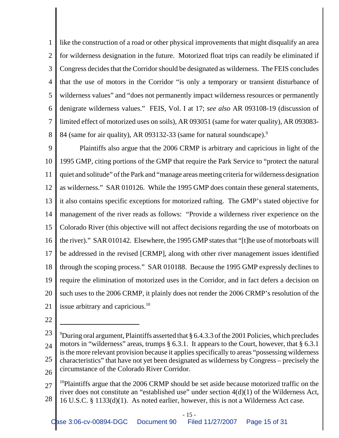1 2 3 4 5 6 7 8 like the construction of a road or other physical improvements that might disqualify an area for wilderness designation in the future. Motorized float trips can readily be eliminated if Congress decides that the Corridor should be designated as wilderness. The FEIS concludes that the use of motors in the Corridor "is only a temporary or transient disturbance of wilderness values" and "does not permanently impact wilderness resources or permanently denigrate wilderness values." FEIS, Vol. I at 17; *see also* AR 093108-19 (discussion of limited effect of motorized uses on soils), AR 093051 (same for water quality), AR 093083- 84 (same for air quality), AR 093132-33 (same for natural soundscape).<sup>9</sup>

9 10 11 12 13 14 15 16 17 18 19 20 21 Plaintiffs also argue that the 2006 CRMP is arbitrary and capricious in light of the 1995 GMP, citing portions of the GMP that require the Park Service to "protect the natural quiet and solitude" of the Park and "manage areas meeting criteria for wilderness designation as wilderness." SAR 010126. While the 1995 GMP does contain these general statements, it also contains specific exceptions for motorized rafting. The GMP's stated objective for management of the river reads as follows: "Provide a wilderness river experience on the Colorado River (this objective will not affect decisions regarding the use of motorboats on the river)." SAR 010142. Elsewhere, the 1995 GMP states that "[t]he use of motorboats will be addressed in the revised [CRMP], along with other river management issues identified through the scoping process." SAR 010188. Because the 1995 GMP expressly declines to require the elimination of motorized uses in the Corridor, and in fact defers a decision on such uses to the 2006 CRMP, it plainly does not render the 2006 CRMP's resolution of the issue arbitrary and capricious.<sup>10</sup>

<sup>23</sup> 24 25 26 <sup>9</sup>During oral argument, Plaintiffs asserted that  $\S 6.4.3.3$  of the 2001 Policies, which precludes motors in "wilderness" areas, trumps § 6.3.1. It appears to the Court, however, that § 6.3.1 is the more relevant provision because it applies specifically to areas "possessing wilderness characteristics" that have not yet been designated as wilderness by Congress – precisely the circumstance of the Colorado River Corridor.

<sup>27</sup> 28 <sup>10</sup>Plaintiffs argue that the 2006 CRMP should be set aside because motorized traffic on the river does not constitute an "established use" under section 4(d)(1) of the Wilderness Act, 16 U.S.C. § 1133(d)(1). As noted earlier, however, this is not a Wilderness Act case.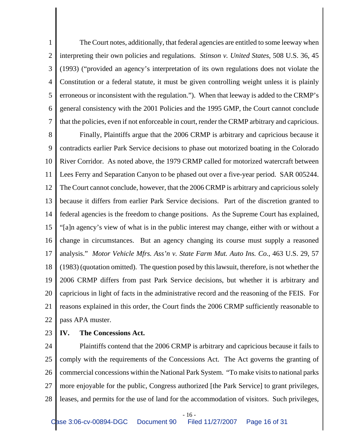1 2 3 4 5 6 7 The Court notes, additionally, that federal agencies are entitled to some leeway when interpreting their own policies and regulations. *Stinson v. United States*, 508 U.S. 36, 45 (1993) ("provided an agency's interpretation of its own regulations does not violate the Constitution or a federal statute, it must be given controlling weight unless it is plainly erroneous or inconsistent with the regulation."). When that leeway is added to the CRMP's general consistency with the 2001 Policies and the 1995 GMP, the Court cannot conclude that the policies, even if not enforceable in court, render the CRMP arbitrary and capricious.

8 9 10 11 12 13 14 15 16 17 18 19 20 21 22 Finally, Plaintiffs argue that the 2006 CRMP is arbitrary and capricious because it contradicts earlier Park Service decisions to phase out motorized boating in the Colorado River Corridor. As noted above, the 1979 CRMP called for motorized watercraft between Lees Ferry and Separation Canyon to be phased out over a five-year period. SAR 005244. The Court cannot conclude, however, that the 2006 CRMP is arbitrary and capricious solely because it differs from earlier Park Service decisions. Part of the discretion granted to federal agencies is the freedom to change positions. As the Supreme Court has explained, "[a]n agency's view of what is in the public interest may change, either with or without a change in circumstances. But an agency changing its course must supply a reasoned analysis." *Motor Vehicle Mfrs. Ass'n v. State Farm Mut. Auto Ins. Co.*, 463 U.S. 29, 57 (1983) (quotation omitted). The question posed by this lawsuit, therefore, is not whether the 2006 CRMP differs from past Park Service decisions, but whether it is arbitrary and capricious in light of facts in the administrative record and the reasoning of the FEIS. For reasons explained in this order, the Court finds the 2006 CRMP sufficiently reasonable to pass APA muster.

23 **IV. The Concessions Act.**

24 25 26 27 28 Plaintiffs contend that the 2006 CRMP is arbitrary and capricious because it fails to comply with the requirements of the Concessions Act. The Act governs the granting of commercial concessions within the National Park System. "To make visits to national parks more enjoyable for the public, Congress authorized [the Park Service] to grant privileges, leases, and permits for the use of land for the accommodation of visitors. Such privileges,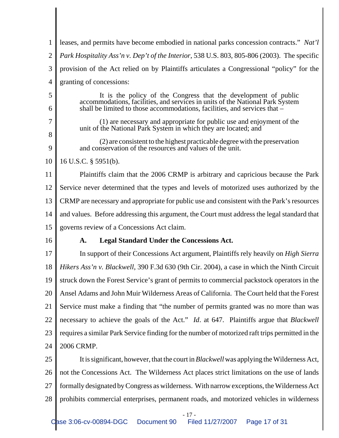| 1                                | leases, and permits have become embodied in national parks concession contracts." Nat'l                                                                                                                                                    |  |  |
|----------------------------------|--------------------------------------------------------------------------------------------------------------------------------------------------------------------------------------------------------------------------------------------|--|--|
| $\overline{2}$                   | Park Hospitality Ass'n v. Dep't of the Interior, 538 U.S. 803, 805-806 (2003). The specific                                                                                                                                                |  |  |
| 3                                | provision of the Act relied on by Plaintiffs articulates a Congressional "policy" for the                                                                                                                                                  |  |  |
| $\overline{4}$                   | granting of concessions:                                                                                                                                                                                                                   |  |  |
| 5<br>6                           | It is the policy of the Congress that the development of public<br>accommodations, facilities, and services in units of the National Park System<br>shall be limited to those accommodations, facilities, and services that $-\frac{1}{2}$ |  |  |
| 7                                | (1) are necessary and appropriate for public use and enjoyment of the<br>unit of the National Park System in which they are located; and                                                                                                   |  |  |
| 8<br>9                           | (2) are consistent to the highest practicable degree with the preservation<br>and conservation of the resources and values of the unit.                                                                                                    |  |  |
| 10                               | 16 U.S.C. § 5951(b).                                                                                                                                                                                                                       |  |  |
| 11                               | Plaintiffs claim that the 2006 CRMP is arbitrary and capricious because the Park                                                                                                                                                           |  |  |
| 12                               | Service never determined that the types and levels of motorized uses authorized by the                                                                                                                                                     |  |  |
| 13                               | CRMP are necessary and appropriate for public use and consistent with the Park's resources                                                                                                                                                 |  |  |
| 14                               | and values. Before addressing this argument, the Court must address the legal standard that                                                                                                                                                |  |  |
|                                  |                                                                                                                                                                                                                                            |  |  |
| 15                               | governs review of a Concessions Act claim.                                                                                                                                                                                                 |  |  |
| 16                               | <b>Legal Standard Under the Concessions Act.</b><br>A.                                                                                                                                                                                     |  |  |
| 17                               | In support of their Concessions Act argument, Plaintiffs rely heavily on <i>High Sierra</i>                                                                                                                                                |  |  |
|                                  | Hikers Ass'n v. Blackwell, 390 F.3d 630 (9th Cir. 2004), a case in which the Ninth Circuit                                                                                                                                                 |  |  |
| 19                               | struck down the Forest Service's grant of permits to commercial packstock operators in the                                                                                                                                                 |  |  |
|                                  | Ansel Adams and John Muir Wilderness Areas of California. The Court held that the Forest                                                                                                                                                   |  |  |
|                                  | Service must make a finding that "the number of permits granted was no more than was                                                                                                                                                       |  |  |
|                                  | necessary to achieve the goals of the Act." <i>Id.</i> at 647. Plaintiffs argue that <i>Blackwell</i>                                                                                                                                      |  |  |
|                                  | requires a similar Park Service finding for the number of motorized raft trips permitted in the                                                                                                                                            |  |  |
| 18<br>20<br>21<br>22<br>23<br>24 | 2006 CRMP.                                                                                                                                                                                                                                 |  |  |
| 25                               | It is significant, however, that the court in <i>Blackwell</i> was applying the Wilderness Act,                                                                                                                                            |  |  |
| 26                               | not the Concessions Act. The Wilderness Act places strict limitations on the use of lands                                                                                                                                                  |  |  |
| 27                               | formally designated by Congress as wilderness. With narrow exceptions, the Wilderness Act                                                                                                                                                  |  |  |

- 17 -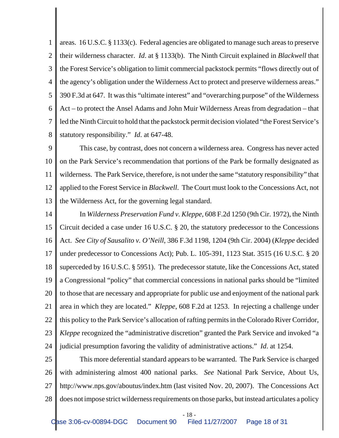1 2 3 4 5 6 7 8 areas. 16 U.S.C. § 1133(c). Federal agencies are obligated to manage such areas to preserve their wilderness character. *Id*. at § 1133(b). The Ninth Circuit explained in *Blackwell* that the Forest Service's obligation to limit commercial packstock permits "flows directly out of the agency's obligation under the Wilderness Act to protect and preserve wilderness areas." 390 F.3d at 647. It was this "ultimate interest" and "overarching purpose" of the Wilderness Act – to protect the Ansel Adams and John Muir Wilderness Areas from degradation – that led the Ninth Circuit to hold that the packstock permit decision violated "the Forest Service's statutory responsibility." *Id*. at 647-48.

9 10 11 12 13 This case, by contrast, does not concern a wilderness area. Congress has never acted on the Park Service's recommendation that portions of the Park be formally designated as wilderness. The Park Service, therefore, is not under the same "statutory responsibility" that applied to the Forest Service in *Blackwell*. The Court must look to the Concessions Act, not the Wilderness Act, for the governing legal standard.

14 15 16 17 18 19 20 21 22 23 24 In *Wilderness Preservation Fund v. Kleppe*, 608 F.2d 1250 (9th Cir. 1972), the Ninth Circuit decided a case under 16 U.S.C. § 20, the statutory predecessor to the Concessions Act. *See City of Sausalito v. O'Neill*, 386 F.3d 1198, 1204 (9th Cir. 2004) (*Kleppe* decided under predecessor to Concessions Act); Pub. L. 105-391, 1123 Stat. 3515 (16 U.S.C. § 20 superceded by 16 U.S.C. § 5951). The predecessor statute, like the Concessions Act, stated a Congressional "policy" that commercial concessions in national parks should be "limited to those that are necessary and appropriate for public use and enjoyment of the national park area in which they are located." *Kleppe*, 608 F.2d at 1253. In rejecting a challenge under this policy to the Park Service's allocation of rafting permits in the Colorado River Corridor, *Kleppe* recognized the "administrative discretion" granted the Park Service and invoked "a judicial presumption favoring the validity of administrative actions." *Id*. at 1254.

25 26 27 28 This more deferential standard appears to be warranted. The Park Service is charged with administering almost 400 national parks. *See* National Park Service, About Us, http://www.nps.gov/aboutus/index.htm (last visited Nov. 20, 2007). The Concessions Act does not impose strict wilderness requirements on those parks, but instead articulates a policy

- 18 -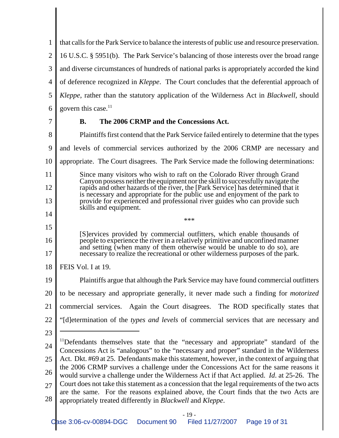1 2 3 4 5 6 that calls for the Park Service to balance the interests of public use and resource preservation. 16 U.S.C. § 5951(b). The Park Service's balancing of those interests over the broad range and diverse circumstances of hundreds of national parks is appropriately accorded the kind of deference recognized in *Kleppe*. The Court concludes that the deferential approach of *Kleppe*, rather than the statutory application of the Wilderness Act in *Blackwell*, should govern this case. $11$ 

7

# **B. The 2006 CRMP and the Concessions Act.**

8 9 10 11 12 13 14 15 16 17 18 19 20 21 22 23 24 25 26 27 <sup>11</sup>Defendants themselves state that the "necessary and appropriate" standard of the Concessions Act is "analogous" to the "necessary and proper" standard in the Wilderness Act. Dkt. #69 at 25. Defendants make this statement, however, in the context of arguing that the 2006 CRMP survives a challenge under the Concessions Act for the same reasons it would survive a challenge under the Wilderness Act if that Act applied. *Id*. at 25-26. The Court does not take this statement as a concession that the legal requirements of the two acts Plaintiffs first contend that the Park Service failed entirely to determine that the types and levels of commercial services authorized by the 2006 CRMP are necessary and appropriate. The Court disagrees. The Park Service made the following determinations: Since many visitors who wish to raft on the Colorado River through Grand Canyon possess neither the equipment nor the skill to successfully navigate the rapids and other hazards of the river, the [Park Service] has determined that it is necessary and appropriate for the public use and enjoyment of the park to provide for experienced and professional river guides who can provide such skills and equipment. \*\*\* [S]ervices provided by commercial outfitters, which enable thousands of people to experience the river in a relatively primitive and unconfined manner and setting (when many of them otherwise would be unable to do so), are necessary to realize the recreational or other wilderness purposes of the park. FEIS Vol. I at 19. Plaintiffs argue that although the Park Service may have found commercial outfitters to be necessary and appropriate generally, it never made such a finding for *motorized* commercial services. Again the Court disagrees. The ROD specifically states that "[d]etermination of the *types and levels* of commercial services that are necessary and

28 are the same. For the reasons explained above, the Court finds that the two Acts are appropriately treated differently in *Blackwell* and *Kleppe*.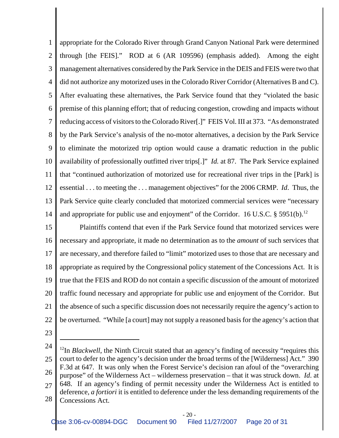1 2 3 4 5 6 7 8 9 10 11 12 13 14 appropriate for the Colorado River through Grand Canyon National Park were determined through [the FEIS]." ROD at 6 (AR 109596) (emphasis added). Among the eight management alternatives considered by the Park Service in the DEIS and FEIS were two that did not authorize any motorized uses in the Colorado River Corridor (Alternatives B and C). After evaluating these alternatives, the Park Service found that they "violated the basic premise of this planning effort; that of reducing congestion, crowding and impacts without reducing access of visitors to the Colorado River[.]" FEIS Vol. III at 373. "As demonstrated by the Park Service's analysis of the no-motor alternatives, a decision by the Park Service to eliminate the motorized trip option would cause a dramatic reduction in the public availability of professionally outfitted river trips[.]" *Id.* at 87. The Park Service explained that "continued authorization of motorized use for recreational river trips in the [Park] is essential . . . to meeting the . . . management objectives" for the 2006 CRMP. *Id*. Thus, the Park Service quite clearly concluded that motorized commercial services were "necessary and appropriate for public use and enjoyment" of the Corridor. 16 U.S.C.  $\S$  5951(b).<sup>12</sup>

15 16 17 18 19 20 21 22 Plaintiffs contend that even if the Park Service found that motorized services were necessary and appropriate, it made no determination as to the *amount* of such services that are necessary, and therefore failed to "limit" motorized uses to those that are necessary and appropriate as required by the Congressional policy statement of the Concessions Act. It is true that the FEIS and ROD do not contain a specific discussion of the amount of motorized traffic found necessary and appropriate for public use and enjoyment of the Corridor. But the absence of such a specific discussion does not necessarily require the agency's action to be overturned. "While [a court] may not supply a reasoned basis for the agency's action that

<sup>24</sup> 25 26 27 28 <sup>12</sup>In *Blackwell*, the Ninth Circuit stated that an agency's finding of necessity "requires this court to defer to the agency's decision under the broad terms of the [Wilderness] Act." 390 F.3d at 647. It was only when the Forest Service's decision ran afoul of the "overarching purpose" of the Wilderness Act – wilderness preservation – that it was struck down. *Id*. at 648. If an agency's finding of permit necessity under the Wilderness Act is entitled to deference, *a fortiori* it is entitled to deference under the less demanding requirements of the Concessions Act.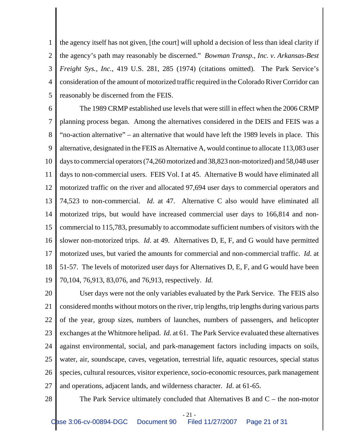1 2 3 4 5 the agency itself has not given, [the court] will uphold a decision of less than ideal clarity if the agency's path may reasonably be discerned." *Bowman Transp., Inc. v. Arkansas-Best Freight Sys., Inc.*, 419 U.S. 281, 285 (1974) (citations omitted). The Park Service's consideration of the amount of motorized traffic required in the Colorado River Corridor can reasonably be discerned from the FEIS.

6 7 8 9 10 11 12 13 14 15 16 17 18 19 The 1989 CRMP established use levels that were still in effect when the 2006 CRMP planning process began. Among the alternatives considered in the DEIS and FEIS was a "no-action alternative" – an alternative that would have left the 1989 levels in place. This alternative, designated in the FEIS as Alternative A, would continue to allocate 113,083 user days to commercial operators (74,260 motorized and 38,823 non-motorized) and 58,048 user days to non-commercial users. FEIS Vol. I at 45. Alternative B would have eliminated all motorized traffic on the river and allocated 97,694 user days to commercial operators and 74,523 to non-commercial. *Id*. at 47. Alternative C also would have eliminated all motorized trips, but would have increased commercial user days to 166,814 and noncommercial to 115,783, presumably to accommodate sufficient numbers of visitors with the slower non-motorized trips. *Id*. at 49. Alternatives D, E, F, and G would have permitted motorized uses, but varied the amounts for commercial and non-commercial traffic. *Id*. at 51-57. The levels of motorized user days for Alternatives D, E, F, and G would have been 70,104, 76,913, 83,076, and 76,913, respectively. *Id*.

20 21 22 23 24 25 26 27 User days were not the only variables evaluated by the Park Service. The FEIS also considered months without motors on the river, trip lengths, trip lengths during various parts of the year, group sizes, numbers of launches, numbers of passengers, and helicopter exchanges at the Whitmore helipad. *Id*. at 61. The Park Service evaluated these alternatives against environmental, social, and park-management factors including impacts on soils, water, air, soundscape, caves, vegetation, terrestrial life, aquatic resources, special status species, cultural resources, visitor experience, socio-economic resources, park management and operations, adjacent lands, and wilderness character. *Id*. at 61-65.

28

The Park Service ultimately concluded that Alternatives B and C – the non-motor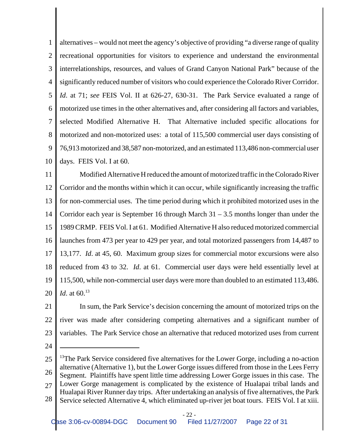1 2 3 4 5 6 7 8 9 10 alternatives – would not meet the agency's objective of providing "a diverse range of quality recreational opportunities for visitors to experience and understand the environmental interrelationships, resources, and values of Grand Canyon National Park" because of the significantly reduced number of visitors who could experience the Colorado River Corridor. *Id*. at 71; *see* FEIS Vol. II at 626-27, 630-31. The Park Service evaluated a range of motorized use times in the other alternatives and, after considering all factors and variables, selected Modified Alternative H. That Alternative included specific allocations for motorized and non-motorized uses: a total of 115,500 commercial user days consisting of 76,913 motorized and 38,587 non-motorized, and an estimated 113,486 non-commercial user days. FEIS Vol. I at 60.

11 12 13 14 15 16 17 18 19 20 Modified Alternative H reduced the amount of motorized traffic in the Colorado River Corridor and the months within which it can occur, while significantly increasing the traffic for non-commercial uses. The time period during which it prohibited motorized uses in the Corridor each year is September 16 through March  $31 - 3.5$  months longer than under the 1989 CRMP. FEIS Vol. I at 61. Modified Alternative H also reduced motorized commercial launches from 473 per year to 429 per year, and total motorized passengers from 14,487 to 13,177. *Id*. at 45, 60. Maximum group sizes for commercial motor excursions were also reduced from 43 to 32. *Id*. at 61. Commercial user days were held essentially level at 115,500, while non-commercial user days were more than doubled to an estimated 113,486. *Id.* at 60.<sup>13</sup>

21 22 23 In sum, the Park Service's decision concerning the amount of motorized trips on the river was made after considering competing alternatives and a significant number of variables. The Park Service chose an alternative that reduced motorized uses from current

<sup>25</sup> 26 27 28 <sup>13</sup>The Park Service considered five alternatives for the Lower Gorge, including a no-action alternative (Alternative 1), but the Lower Gorge issues differed from those in the Lees Ferry Segment. Plaintiffs have spent little time addressing Lower Gorge issues in this case. The Lower Gorge management is complicated by the existence of Hualapai tribal lands and Hualapai River Runner day trips. After undertaking an analysis of five alternatives, the Park Service selected Alternative 4, which eliminated up-river jet boat tours. FEIS Vol. I at xiii.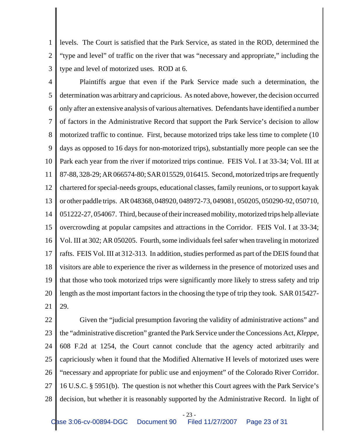1 2 3 levels. The Court is satisfied that the Park Service, as stated in the ROD, determined the "type and level" of traffic on the river that was "necessary and appropriate," including the type and level of motorized uses. ROD at 6.

4 5 6 7 8 9 10 11 12 13 14 15 16 17 18 19 20 21 Plaintiffs argue that even if the Park Service made such a determination, the determination was arbitrary and capricious. As noted above, however, the decision occurred only after an extensive analysis of various alternatives. Defendants have identified a number of factors in the Administrative Record that support the Park Service's decision to allow motorized traffic to continue. First, because motorized trips take less time to complete (10 days as opposed to 16 days for non-motorized trips), substantially more people can see the Park each year from the river if motorized trips continue. FEIS Vol. I at 33-34; Vol. III at 87-88, 328-29; AR 066574-80; SAR 015529, 016415. Second, motorized trips are frequently chartered for special-needs groups, educational classes, family reunions, or to support kayak or other paddle trips. AR 048368, 048920, 048972-73, 049081, 050205, 050290-92, 050710, 051222-27, 054067. Third, because of their increased mobility, motorized trips help alleviate overcrowding at popular campsites and attractions in the Corridor. FEIS Vol. I at 33-34; Vol. III at 302; AR 050205. Fourth, some individuals feel safer when traveling in motorized rafts. FEIS Vol. III at 312-313. In addition, studies performed as part of the DEIS found that visitors are able to experience the river as wilderness in the presence of motorized uses and that those who took motorized trips were significantly more likely to stress safety and trip length as the most important factors in the choosing the type of trip they took. SAR 015427- 29.

22 23 24 25 26 27 28 Given the "judicial presumption favoring the validity of administrative actions" and the "administrative discretion" granted the Park Service under the Concessions Act, *Kleppe*, 608 F.2d at 1254, the Court cannot conclude that the agency acted arbitrarily and capriciously when it found that the Modified Alternative H levels of motorized uses were "necessary and appropriate for public use and enjoyment" of the Colorado River Corridor. 16 U.S.C. § 5951(b). The question is not whether this Court agrees with the Park Service's decision, but whether it is reasonably supported by the Administrative Record. In light of

- 23 -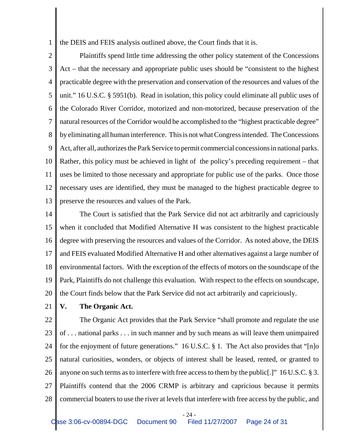1 the DEIS and FEIS analysis outlined above, the Court finds that it is.

2 3 4 5 6 7 8 9 10 11 12 13 Plaintiffs spend little time addressing the other policy statement of the Concessions Act – that the necessary and appropriate public uses should be "consistent to the highest practicable degree with the preservation and conservation of the resources and values of the unit." 16 U.S.C. § 5951(b). Read in isolation, this policy could eliminate all public uses of the Colorado River Corridor, motorized and non-motorized, because preservation of the natural resources of the Corridor would be accomplished to the "highest practicable degree" by eliminating all human interference. This is not what Congress intended. The Concessions Act, after all, authorizes the Park Service to permit commercial concessions in national parks. Rather, this policy must be achieved in light of the policy's preceding requirement – that uses be limited to those necessary and appropriate for public use of the parks. Once those necessary uses are identified, they must be managed to the highest practicable degree to preserve the resources and values of the Park.

14 15 16 17 18 19 20 The Court is satisfied that the Park Service did not act arbitrarily and capriciously when it concluded that Modified Alternative H was consistent to the highest practicable degree with preserving the resources and values of the Corridor. As noted above, the DEIS and FEIS evaluated Modified Alternative H and other alternatives against a large number of environmental factors. With the exception of the effects of motors on the soundscape of the Park, Plaintiffs do not challenge this evaluation. With respect to the effects on soundscape, the Court finds below that the Park Service did not act arbitrarily and capriciously.

21

**V. The Organic Act.**

22 23 24 25 26 27 28 The Organic Act provides that the Park Service "shall promote and regulate the use of . . . national parks . . . in such manner and by such means as will leave them unimpaired for the enjoyment of future generations." 16 U.S.C. § 1. The Act also provides that "[n]o natural curiosities, wonders, or objects of interest shall be leased, rented, or granted to anyone on such terms as to interfere with free access to them by the public[.]" 16 U.S.C. § 3. Plaintiffs contend that the 2006 CRMP is arbitrary and capricious because it permits commercial boaters to use the river at levels that interfere with free access by the public, and

- 24 -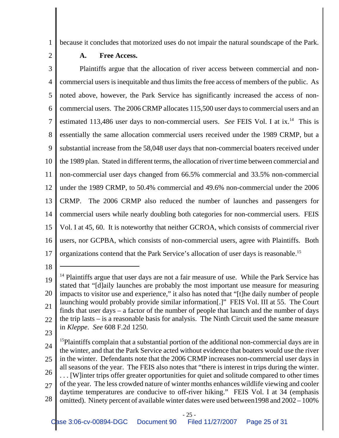1 because it concludes that motorized uses do not impair the natural soundscape of the Park.

2

## **A. Free Access.**

3 4 5 6 7 8 9 10 11 12 13 14 15 16 17 Plaintiffs argue that the allocation of river access between commercial and noncommercial users is inequitable and thus limits the free access of members of the public. As noted above, however, the Park Service has significantly increased the access of noncommercial users. The 2006 CRMP allocates 115,500 user days to commercial users and an estimated 113,486 user days to non-commercial users. *See* FEIS Vol. I at ix.<sup>14</sup> This is essentially the same allocation commercial users received under the 1989 CRMP, but a substantial increase from the 58,048 user days that non-commercial boaters received under the 1989 plan. Stated in different terms, the allocation of river time between commercial and non-commercial user days changed from 66.5% commercial and 33.5% non-commercial under the 1989 CRMP, to 50.4% commercial and 49.6% non-commercial under the 2006 CRMP. The 2006 CRMP also reduced the number of launches and passengers for commercial users while nearly doubling both categories for non-commercial users. FEIS Vol. I at 45, 60. It is noteworthy that neither GCROA, which consists of commercial river users, nor GCPBA, which consists of non-commercial users, agree with Plaintiffs. Both organizations contend that the Park Service's allocation of user days is reasonable.15

18

23

24 25 26 27 28 <sup>15</sup>Plaintiffs complain that a substantial portion of the additional non-commercial days are in the winter, and that the Park Service acted without evidence that boaters would use the river in the winter. Defendants note that the 2006 CRMP increases non-commercial user days in all seasons of the year. The FEIS also notes that "there is interest in trips during the winter. . . . [W]inter trips offer greater opportunities for quiet and solitude compared to other times of the year. The less crowded nature of winter months enhances wildlife viewing and cooler daytime temperatures are conducive to off-river hiking." FEIS Vol. I at 34 (emphasis omitted). Ninety percent of available winter dates were used between1998 and 2002 – 100%

<sup>19</sup> 20 21 22  $<sup>14</sup>$  Plaintiffs argue that user days are not a fair measure of use. While the Park Service has</sup> stated that "[d]aily launches are probably the most important use measure for measuring impacts to visitor use and experience," it also has noted that "[t]he daily number of people launching would probably provide similar information[.]" FEIS Vol. III at 55. The Court finds that user days – a factor of the number of people that launch and the number of days the trip lasts – is a reasonable basis for analysis. The Ninth Circuit used the same measure in *Kleppe*. *See* 608 F.2d 1250.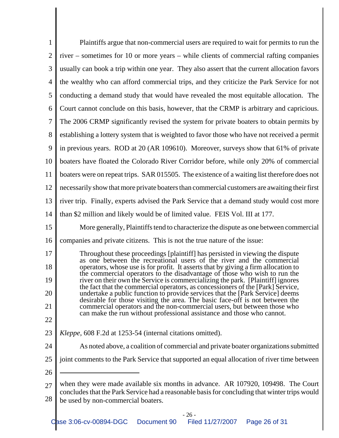| 1              | Plaintiffs argue that non-commercial users are required to wait for permits to run the                                                                                             |  |  |  |
|----------------|------------------------------------------------------------------------------------------------------------------------------------------------------------------------------------|--|--|--|
| $\overline{2}$ | river – sometimes for 10 or more years – while clients of commercial rafting companies                                                                                             |  |  |  |
| 3              | usually can book a trip within one year. They also assert that the current allocation favors                                                                                       |  |  |  |
| 4              | the wealthy who can afford commercial trips, and they criticize the Park Service for not                                                                                           |  |  |  |
| 5              | conducting a demand study that would have revealed the most equitable allocation. The                                                                                              |  |  |  |
| 6              | Court cannot conclude on this basis, however, that the CRMP is arbitrary and capricious.                                                                                           |  |  |  |
| 7              | The 2006 CRMP significantly revised the system for private boaters to obtain permits by                                                                                            |  |  |  |
| 8              | establishing a lottery system that is weighted to favor those who have not received a permit                                                                                       |  |  |  |
| 9              | in previous years. ROD at 20 (AR 109610). Moreover, surveys show that 61% of private                                                                                               |  |  |  |
| 10             | boaters have floated the Colorado River Corridor before, while only 20% of commercial                                                                                              |  |  |  |
| 11             | boaters were on repeat trips. SAR 015505. The existence of a waiting list therefore does not                                                                                       |  |  |  |
| 12             | necessarily show that more private boaters than commercial customers are awaiting their first                                                                                      |  |  |  |
| 13             | river trip. Finally, experts advised the Park Service that a demand study would cost more                                                                                          |  |  |  |
| 14             | than \$2 million and likely would be of limited value. FEIS Vol. III at 177.                                                                                                       |  |  |  |
| 15             | More generally, Plaintiffs tend to characterize the dispute as one between commercial                                                                                              |  |  |  |
| 16             | companies and private citizens. This is not the true nature of the issue:                                                                                                          |  |  |  |
| 17             | Throughout these proceedings [plaintiff] has persisted in viewing the dispute<br>as one between the recreational users of the river and the commercial                             |  |  |  |
| 18             | operators, whose use is for profit. It asserts that by giving a firm allocation to<br>the commercial operators to the disadvantage of those who wish to run the                    |  |  |  |
| 19             | river on their own the Service is commercializing the park. [Plaintiff] ignores<br>the fact that the commercial operators, as concessioners of the [Park] Service,                 |  |  |  |
| 20             | undertake a public function to provide services that the [Park Service] deems<br>desirable for those visiting the area. The basic face-off is not between the                      |  |  |  |
| 21             | commercial operators and the non-commercial users, but between those who<br>can make the run without professional assistance and those who cannot.                                 |  |  |  |
| 22             |                                                                                                                                                                                    |  |  |  |
| 23             | <i>Kleppe</i> , 608 F.2d at 1253-54 (internal citations omitted).                                                                                                                  |  |  |  |
| 24             | As noted above, a coalition of commercial and private boater organizations submitted                                                                                               |  |  |  |
| 25             | joint comments to the Park Service that supported an equal allocation of river time between                                                                                        |  |  |  |
| 26             |                                                                                                                                                                                    |  |  |  |
| 27             | when they were made available six months in advance. AR 107920, 109498. The Court<br>concludes that the Park Service had a reasonable basis for concluding that winter trips would |  |  |  |
| 28             | be used by non-commercial boaters.                                                                                                                                                 |  |  |  |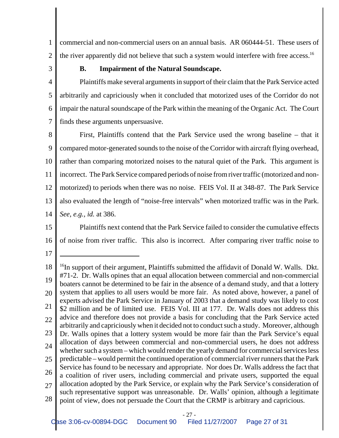1 2 commercial and non-commercial users on an annual basis. AR 060444-51. These users of the river apparently did not believe that such a system would interfere with free access.<sup>16</sup>

3

## **B. Impairment of the Natural Soundscape.**

4 5 6 7 Plaintiffs make several arguments in support of their claim that the Park Service acted arbitrarily and capriciously when it concluded that motorized uses of the Corridor do not impair the natural soundscape of the Park within the meaning of the Organic Act. The Court finds these arguments unpersuasive.

8 9 10 11 12 13 14 First, Plaintiffs contend that the Park Service used the wrong baseline – that it compared motor-generated sounds to the noise of the Corridor with aircraft flying overhead, rather than comparing motorized noises to the natural quiet of the Park. This argument is incorrect. The Park Service compared periods of noise from river traffic (motorized and nonmotorized) to periods when there was no noise. FEIS Vol. II at 348-87. The Park Service also evaluated the length of "noise-free intervals" when motorized traffic was in the Park. *See, e.g., id.* at 386.

15

16 Plaintiffs next contend that the Park Service failed to consider the cumulative effects of noise from river traffic. This also is incorrect. After comparing river traffic noise to

17

18 19 20 21 22 23 24 25 26 27 28  $^{16}$ In support of their argument, Plaintiffs submitted the affidavit of Donald W. Walls. Dkt. #71-2. Dr. Walls opines that an equal allocation between commercial and non-commercial boaters cannot be determined to be fair in the absence of a demand study, and that a lottery system that applies to all users would be more fair. As noted above, however, a panel of experts advised the Park Service in January of 2003 that a demand study was likely to cost \$2 million and be of limited use. FEIS Vol. III at 177. Dr. Walls does not address this advice and therefore does not provide a basis for concluding that the Park Service acted arbitrarily and capriciously when it decided not to conduct such a study. Moreover, although Dr. Walls opines that a lottery system would be more fair than the Park Service's equal allocation of days between commercial and non-commercial users, he does not address whether such a system – which would render the yearly demand for commercial services less predictable – would permit the continued operation of commercial river runners that the Park Service has found to be necessary and appropriate. Nor does Dr. Walls address the fact that a coalition of river users, including commercial and private users, supported the equal allocation adopted by the Park Service, or explain why the Park Service's consideration of such representative support was unreasonable. Dr. Walls' opinion, although a legitimate point of view, does not persuade the Court that the CRMP is arbitrary and capricious.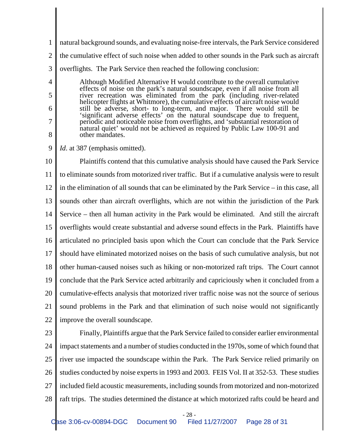1 2 natural background sounds, and evaluating noise-free intervals, the Park Service considered the cumulative effect of such noise when added to other sounds in the Park such as aircraft

3 overflights. The Park Service then reached the following conclusion:

Although Modified Alternative H would contribute to the overall cumulative effects of noise on the park's natural soundscape, even if all noise from all river recreation was eliminated from the park (including river-related helicopter flights at Whitmore), the cumulative effects of aircraft noise would still be adverse, short- to long-term, and major. There would still be 'significant adverse effects' on the natural soundscape due to frequent, periodic and noticeable noise from overflights, and 'substantial restoration of natural quiet' would not be achieved as required by Public Law 100-91 and other mandates.

9 *Id.* at 387 (emphasis omitted).

10 11 12 13 14 15 16 17 18 19 20 21 22 Plaintiffs contend that this cumulative analysis should have caused the Park Service to eliminate sounds from motorized river traffic. But if a cumulative analysis were to result in the elimination of all sounds that can be eliminated by the Park Service – in this case, all sounds other than aircraft overflights, which are not within the jurisdiction of the Park Service – then all human activity in the Park would be eliminated. And still the aircraft overflights would create substantial and adverse sound effects in the Park. Plaintiffs have articulated no principled basis upon which the Court can conclude that the Park Service should have eliminated motorized noises on the basis of such cumulative analysis, but not other human-caused noises such as hiking or non-motorized raft trips. The Court cannot conclude that the Park Service acted arbitrarily and capriciously when it concluded from a cumulative-effects analysis that motorized river traffic noise was not the source of serious sound problems in the Park and that elimination of such noise would not significantly improve the overall soundscape.

23

4

5

6

7

8

24 25 26 27 28 Finally, Plaintiffs argue that the Park Service failed to consider earlier environmental impact statements and a number of studies conducted in the 1970s, some of which found that river use impacted the soundscape within the Park. The Park Service relied primarily on studies conducted by noise experts in 1993 and 2003. FEIS Vol. II at 352-53. These studies included field acoustic measurements, including sounds from motorized and non-motorized raft trips. The studies determined the distance at which motorized rafts could be heard and

- 28 -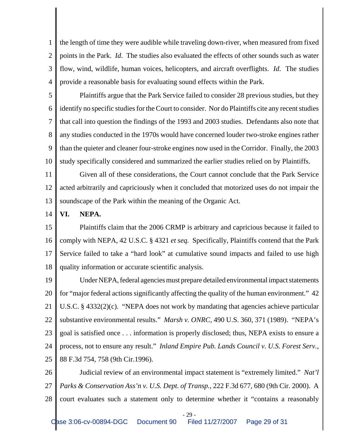1 2 3 4 the length of time they were audible while traveling down-river, when measured from fixed points in the Park. *Id*. The studies also evaluated the effects of other sounds such as water flow, wind, wildlife, human voices, helicopters, and aircraft overflights. *Id*. The studies provide a reasonable basis for evaluating sound effects within the Park.

5 6 7 8 9 10 Plaintiffs argue that the Park Service failed to consider 28 previous studies, but they identify no specific studies for the Court to consider. Nor do Plaintiffs cite any recent studies that call into question the findings of the 1993 and 2003 studies. Defendants also note that any studies conducted in the 1970s would have concerned louder two-stroke engines rather than the quieter and cleaner four-stroke engines now used in the Corridor. Finally, the 2003 study specifically considered and summarized the earlier studies relied on by Plaintiffs.

11 12 13 Given all of these considerations, the Court cannot conclude that the Park Service acted arbitrarily and capriciously when it concluded that motorized uses do not impair the soundscape of the Park within the meaning of the Organic Act.

#### 14 **VI. NEPA.**

15 16 17 18 Plaintiffs claim that the 2006 CRMP is arbitrary and capricious because it failed to comply with NEPA, 42 U.S.C. § 4321 *et seq.* Specifically, Plaintiffs contend that the Park Service failed to take a "hard look" at cumulative sound impacts and failed to use high quality information or accurate scientific analysis.

19 20 21 22 23 24 25 Under NEPA, federal agencies must prepare detailed environmental impact statements for "major federal actions significantly affecting the quality of the human environment." 42 U.S.C. § 4332(2)(c). "NEPA does not work by mandating that agencies achieve particular substantive environmental results." *Marsh v. ONRC*, 490 U.S. 360, 371 (1989). "NEPA's goal is satisfied once . . . information is properly disclosed; thus, NEPA exists to ensure a process, not to ensure any result." *Inland Empire Pub. Lands Council v. U.S. Forest Serv.*, 88 F.3d 754, 758 (9th Cir.1996).

26 27 28 Judicial review of an environmental impact statement is "extremely limited." *Nat'l Parks & Conservation Ass'n v. U.S. Dept. of Transp.*, 222 F.3d 677, 680 (9th Cir. 2000). A court evaluates such a statement only to determine whether it "contains a reasonably

- 29 -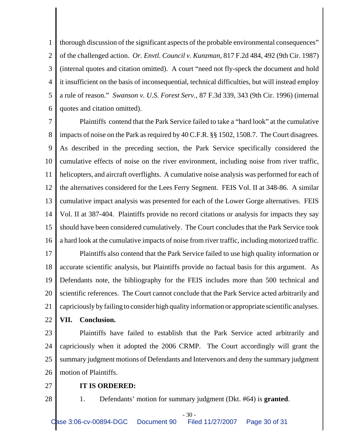1 2 3 4 5 6 thorough discussion of the significant aspects of the probable environmental consequences" of the challenged action. *Or. Envtl. Council v. Kunzman*, 817 F.2d 484, 492 (9th Cir. 1987) (internal quotes and citation omitted). A court "need not fly-speck the document and hold it insufficient on the basis of inconsequential, technical difficulties, but will instead employ a rule of reason." *Swanson v. U.S. Forest Serv.*, 87 F.3d 339, 343 (9th Cir. 1996) (internal quotes and citation omitted).

7 8 9 10 11 12 13 14 15 16 Plaintiffs contend that the Park Service failed to take a "hard look" at the cumulative impacts of noise on the Park as required by 40 C.F.R. §§ 1502, 1508.7. The Court disagrees. As described in the preceding section, the Park Service specifically considered the cumulative effects of noise on the river environment, including noise from river traffic, helicopters, and aircraft overflights. A cumulative noise analysis was performed for each of the alternatives considered for the Lees Ferry Segment. FEIS Vol. II at 348-86. A similar cumulative impact analysis was presented for each of the Lower Gorge alternatives. FEIS Vol. II at 387-404. Plaintiffs provide no record citations or analysis for impacts they say should have been considered cumulatively. The Court concludes that the Park Service took a hard look at the cumulative impacts of noise from river traffic, including motorized traffic.

17 18 19 20 21 22 Plaintiffs also contend that the Park Service failed to use high quality information or accurate scientific analysis, but Plaintiffs provide no factual basis for this argument. As Defendants note, the bibliography for the FEIS includes more than 500 technical and scientific references. The Court cannot conclude that the Park Service acted arbitrarily and capriciously by failing to consider high quality information or appropriate scientific analyses. **VII. Conclusion.**

23 24 25 26 Plaintiffs have failed to establish that the Park Service acted arbitrarily and capriciously when it adopted the 2006 CRMP. The Court accordingly will grant the summary judgment motions of Defendants and Intervenors and deny the summary judgment motion of Plaintiffs.

27

28

# **IT IS ORDERED:**

1. Defendants' motion for summary judgment (Dkt. #64) is **granted**.

- 30 -